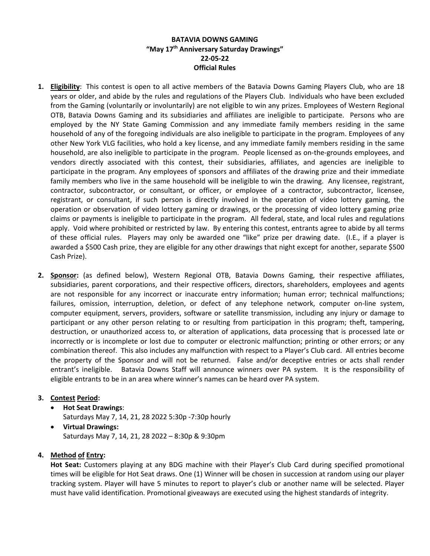# **BATAVIA DOWNS GAMING "May 17th Anniversary Saturday Drawings" 22-05-22 Official Rules**

- **1. Eligibility**: This contest is open to all active members of the Batavia Downs Gaming Players Club, who are 18 years or older, and abide by the rules and regulations of the Players Club. Individuals who have been excluded from the Gaming (voluntarily or involuntarily) are not eligible to win any prizes. Employees of Western Regional OTB, Batavia Downs Gaming and its subsidiaries and affiliates are ineligible to participate. Persons who are employed by the NY State Gaming Commission and any immediate family members residing in the same household of any of the foregoing individuals are also ineligible to participate in the program. Employees of any other New York VLG facilities, who hold a key license, and any immediate family members residing in the same household, are also ineligible to participate in the program. People licensed as on-the-grounds employees, and vendors directly associated with this contest, their subsidiaries, affiliates, and agencies are ineligible to participate in the program. Any employees of sponsors and affiliates of the drawing prize and their immediate family members who live in the same household will be ineligible to win the drawing. Any licensee, registrant, contractor, subcontractor, or consultant, or officer, or employee of a contractor, subcontractor, licensee, registrant, or consultant, if such person is directly involved in the operation of video lottery gaming, the operation or observation of video lottery gaming or drawings, or the processing of video lottery gaming prize claims or payments is ineligible to participate in the program. All federal, state, and local rules and regulations apply. Void where prohibited or restricted by law. By entering this contest, entrants agree to abide by all terms of these official rules. Players may only be awarded one "like" prize per drawing date. (I.E., if a player is awarded a \$500 Cash prize, they are eligible for any other drawings that night except for another, separate \$500 Cash Prize).
- **2. Sponsor:** (as defined below), Western Regional OTB, Batavia Downs Gaming, their respective affiliates, subsidiaries, parent corporations, and their respective officers, directors, shareholders, employees and agents are not responsible for any incorrect or inaccurate entry information; human error; technical malfunctions; failures, omission, interruption, deletion, or defect of any telephone network, computer on-line system, computer equipment, servers, providers, software or satellite transmission, including any injury or damage to participant or any other person relating to or resulting from participation in this program; theft, tampering, destruction, or unauthorized access to, or alteration of applications, data processing that is processed late or incorrectly or is incomplete or lost due to computer or electronic malfunction; printing or other errors; or any combination thereof. This also includes any malfunction with respect to a Player's Club card. All entries become the property of the Sponsor and will not be returned. False and/or deceptive entries or acts shall render entrant's ineligible. Batavia Downs Staff will announce winners over PA system. It is the responsibility of eligible entrants to be in an area where winner's names can be heard over PA system.

# **3. Contest Period:**

- **Hot Seat Drawings**:
	- Saturdays May 7, 14, 21, 28 2022 5:30p -7:30p hourly
- **Virtual Drawings:**  Saturdays May 7, 14, 21, 28 2022 – 8:30p & 9:30pm

# **4. Method of Entry:**

**Hot Seat:** Customers playing at any BDG machine with their Player's Club Card during specified promotional times will be eligible for Hot Seat draws. One (1) Winner will be chosen in succession at random using our player tracking system. Player will have 5 minutes to report to player's club or another name will be selected. Player must have valid identification. Promotional giveaways are executed using the highest standards of integrity.